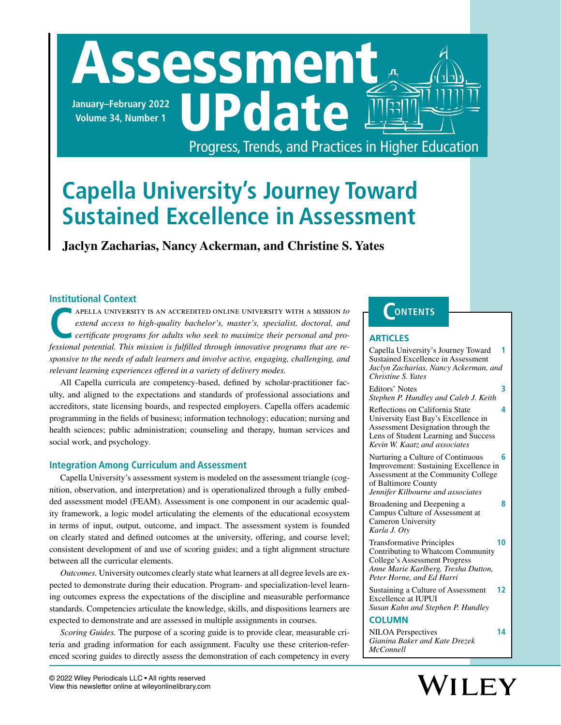# Assessment **JPdate January–February 2022 Volume 34, Number 1**

Progress, Trends, and Practices in Higher Education

# **Capella University's Journey Toward Sustained Excellence in Assessment**

**Jaclyn Zacharias, Nancy Ackerman, and Christine S. Yates**

## **Institutional Context**

**CAPELLA UNIVERSITY IS AN ACCREDITED ONLINE UNIVERSITY WITH A MISSION** *to* **extend access to high-quality bachelor's, master's, specialist, doctoral, and certificate programs for adults who seek to maximize their personal a** *extend access to high-quality bachelor's, master's, specialist, doctoral, and fessional potential. This mission is fulfilled through innovative programs that are responsive to the needs of adult learners and involve active, engaging, challenging, and relevant learning experiences offered in a variety of delivery modes.*

All Capella curricula are competency-based, defined by scholar-practitioner faculty, and aligned to the expectations and standards of professional associations and accreditors, state licensing boards, and respected employers. Capella offers academic programming in the fields of business; information technology; education; nursing and health sciences; public administration; counseling and therapy, human services and social work, and psychology.

## **Integration Among Curriculum and Assessment**

Capella University's assessment system is modeled on the assessment triangle (cognition, observation, and interpretation) and is operationalized through a fully embedded assessment model (FEAM). Assessment is one component in our academic quality framework, a logic model articulating the elements of the educational ecosystem in terms of input, output, outcome, and impact. The assessment system is founded on clearly stated and defined outcomes at the university, offering, and course level; consistent development of and use of scoring guides; and a tight alignment structure between all the curricular elements.

*Outcomes.* University outcomes clearly state what learners at all degree levels are expected to demonstrate during their education. Program- and specialization-level learning outcomes express the expectations of the discipline and measurable performance standards. Competencies articulate the knowledge, skills, and dispositions learners are expected to demonstrate and are assessed in multiple assignments in courses.

*Scoring Guides.* The purpose of a scoring guide is to provide clear, measurable criteria and grading information for each assignment. Faculty use these criterion-referenced scoring guides to directly assess the demonstration of each competency in every

# **CONTENTS**

### **ARTICLES**

Capella University's Journey Toward **1**  Sustained Excellence in Assessment *Jaclyn Zacharias, Nancy Ackerman, and Christine S. Yates*

[Editors' Notes](#page-2-0) **3** *[Stephen P. Hundley a](#page-2-0)nd Caleb J. Keith*

[Reflections on California State](#page-3-0) **4** [University East Bay's Excellence in](#page-3-0)  [Assessment Designation through the](#page-3-0)  [Lens of Student Learning and Success](#page-3-0) *[Kevin W. Kaatz](#page-3-0) and associates*

[Nurturing a Culture of Continuous](#page-5-0) **6** [Improvement: Sustaining Excellence in](#page-5-0)  [Assessment at the Community College](#page-5-0)  [of Baltimore County](#page-5-0) *[Jennifer Kilbourne](#page-5-0) and associates*

[Broadening and Deepening a](#page-7-0) **8** [Campus Culture of Assessment at](#page-7-0)  [Cameron University](#page-7-0) *[Karla J. Oty](#page-7-0)*

[Transformative Principles](#page-9-0) **10** [Contributing to Whatcom Community](#page-9-0)  [College's Assessment Progress](#page-9-0) *[Anne Marie Karlberg, Tresha Dutton,](#page-9-0)  [Peter Horne, and Ed Harri](#page-9-0)*

Sustaining a Culture of Assessment **12** Excellence at IUPUI *Susan Kahn and Stephen P. Hundley*

## **COLUMN**

[NILOA Perspectives](#page-11-0) **14** *[Gianina Baker and Kate Drezek](#page-11-0)  [McConnell](#page-11-0)*

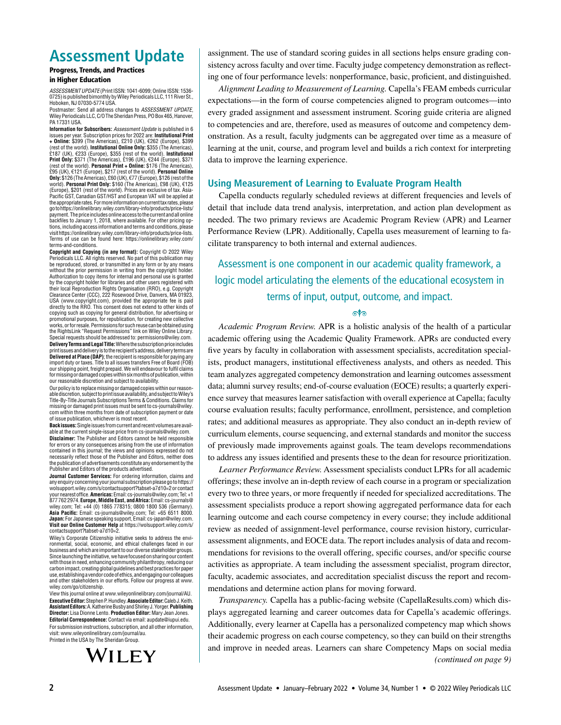# **Assessment Update**

#### Progress, Trends, and Practices in Higher Education

*ASSESSMENT UPDATE* (Print ISSN: 1041-6099; Online ISSN: 1536- 0725) is published bimonthly by Wiley Periodicals LLC, 111 River St., Hoboken, NJ 07030-5774 USA.

Postmaster: Send all address changes to *ASSESSMENT UPDATE*, Wiley Periodicals LLC, C/O The Sheridan Press, PO Box 465, Hanover, PA 17331 USA.

**Information for Subscribers:** *Assessment Update* is published in 6 issues per year. Subscription prices for 2022 are: **Institutional Print + Online:** \$399 (The Americas), £210 (UK), €262 (Europe), \$399 (rest of the world). **Institutional Online Only:** \$355 (The Americas), £187 (UK), €233 (Europe), \$355 (rest of the world). **Institutional Print Only:** \$371 (The Americas), £196 (UK), €244 (Europe), \$371 (rest of the world). **Personal Print + Online:** \$176 (The Americas), £95 (UK), €121 (Europe), \$217 (rest of the world). **Personal Online Only:** \$126 (The Americas), £60 (UK), €77 (Europe), \$126 (rest of the world). **Personal Print Only:** \$160 (The Americas), £98 (UK), €125 (Europe), \$201 (rest of the world). Prices are exclusive of tax. Asia-Pacific GST, Canadian GST/HST and European VAT will be applied at the appropriate rates. For more information on current tax rates, please go to https://onlinelibrary.wiley.com/library-info/products/price-lists/ payment. The price includes online access to the current and all online backfiles to January 1, 2018, where available. For other pricing options, including access information and terms and conditions, please visit https://onlinelibrary.wiley.com/library-info/products/price-lists. Terms of use can be found here: https://onlinelibrary.wiley.com/ terms-and-conditions.

**Copyright and Copying (in any format):** Copyright © 2022 Wiley Periodicals LLC. All rights reserved. No part of this publication may be reproduced, stored, or transmitted in any form or by any means without the prior permission in writing from the copyright holder. Authorization to copy items for internal and personal use is granted by the copyright holder for libraries and other users registered with their local Reproduction Rights Organisation (RRO), e.g. Copyright Clearance Center (CCC), 222 Rosewood Drive, Danvers, MA 01923, USA (www.copyright.com), provided the appropriate fee is paid directly to the RRO. This consent does not extend to other kinds of copying such as copying for general distribution, for advertising or promotional purposes, for republication, for creating new collective works, or for resale. Permissions for such reuse can be obtained using the RightsLink "Request Permissions" link on Wiley Online Library. Special requests should be addressed to: [permissions@wiley.com.](http://www.skidmore.edu/classics/marnush/teagle/)

**Delivery Terms and Legal Title:** Where the subscription price includes print issues and delivery is to the recipient's address, delivery terms are<br>**Delivered at Place (DAP)**; the recipient is responsible for paying any<br>import duty or taxes. Title to all issues transfers Free of Board (FOB) our shipping point, freight prepaid. We will endeavour to fulfil claims for missing or damaged copies within six months of publication, within our reasonable discretion and subject to availability.

Our policy is to replace missing or damaged copies within our reason-able discretion, subject to print issue availability, and subject to Wiley's Title-By-Title Journals Subscriptions Terms & Conditions. Claims for missing or damaged print issues must be sent to cs-journals@wiley. com within three months from date of subscription payment or date of issue publication, whichever is most recent.

**Back issues:** Single issues from current and recent volumes are available at the current single-issue price from cs-journals@wiley.com. **Disclaimer:** The Publisher and Editors cannot be held responsible for errors or any consequences arising from the use of information contained in this journal; the views and opinions expressed do not necessarily reflect those of the Publisher and Editors, neither does the publication of advertisements constitute any endorsement by the Publisher and Editors of the products advertised.

**Journal Customer Services:** For ordering information, claims and any enquiry concerning your journal subscription please go to https:// wolsupport.wiley.com/s/contactsupport?tabset-a7d10=2 or contact your nearest office. **Americas:** Email: cs-journals@wiley.com; Tel: +1 877 762 2974. **Europe, Middle East, and Africa:** Email: cs-journals@ wiley.com; Tel: +44 (0) 1865 778315; 0800 1800 536 (Germany). **Asia Pacific:** Email: cs-journals@wiley.com; Tel: +65 6511 8000. **Japan:** For Japanese speaking support, Email: cs-japan@wiley.com. **Visit our Online Customer Help** at https://wolsupport.wiley.com/s/ contactsupport?tabset-a7d10=2.

Wiley's Corporate Citizenship initiative seeks to address the envi-ronmental, social, economic, and ethical challenges faced in our business and which are important to our diverse stakeholder groups. Since launching the initiative, we have focused on sharing our content with those in need, enhancing community philanthropy, reducing our carbon impact, creating global guidelines and best practices for paper use, establishing a vendor code of ethics, and engaging our colleagues and other stakeholders in our efforts. Follow our progress at www. wiley.com/go/citizenship.

View this journal online at www.wileyonlinelibrary.com/journal/AU. **Executive Editor:** Stephen P. Hundley. **Associate Editor:** Caleb J. Keith. **Assistant Editors:** A. Katherine Busby and Shirley J. Yorger. **Publishing Director:** Lisa Dionne Lento. **Production Editor:** Mary Jean Jones. **Editorial Correspondence:** Contact via email: aupdate@iupui.edu. For submission instructions, subscription, and all other information, visit: www.wileyonlinelibrary.com/journal/au. Printed in the USA by The Sheridan Group.

WILEY

assignment. The use of standard scoring guides in all sections helps ensure grading consistency across faculty and over time. Faculty judge competency demonstration as reflecting one of four performance levels: nonperformance, basic, proficient, and distinguished.

*Alignment Leading to Measurement of Learning.* Capella's FEAM embeds curricular expectations—in the form of course competencies aligned to program outcomes—into every graded assignment and assessment instrument. Scoring guide criteria are aligned to competencies and are, therefore, used as measures of outcome and competency demonstration. As a result, faculty judgments can be aggregated over time as a measure of learning at the unit, course, and program level and builds a rich context for interpreting data to improve the learning experience.

#### **Using Measurement of Learning to Evaluate Program Health**

Capella conducts regularly scheduled reviews at different frequencies and levels of detail that include data trend analysis, interpretation, and action plan development as needed. The two primary reviews are Academic Program Review (APR) and Learner Performance Review (LPR). Additionally, Capella uses measurement of learning to facilitate transparency to both internal and external audiences.

# Assessment is one component in our academic quality framework, a logic model articulating the elements of the educational ecosystem in terms of input, output, outcome, and impact.

#### $ot$

*Academic Program Review.* APR is a holistic analysis of the health of a particular academic offering using the Academic Quality Framework. APRs are conducted every five years by faculty in collaboration with assessment specialists, accreditation specialists, product managers, institutional effectiveness analysts, and others as needed. This team analyzes aggregated competency demonstration and learning outcomes assessment data; alumni survey results; end-of-course evaluation (EOCE) results; a quarterly experience survey that measures learner satisfaction with overall experience at Capella; faculty course evaluation results; faculty performance, enrollment, persistence, and completion rates; and additional measures as appropriate. They also conduct an in-depth review of curriculum elements, course sequencing, and external standards and monitor the success of previously made improvements against goals. The team develops recommendations to address any issues identified and presents these to the dean for resource prioritization.

*Learner Performance Review.* Assessment specialists conduct LPRs for all academic offerings; these involve an in-depth review of each course in a program or specialization every two to three years, or more frequently if needed for specialized accreditations. The assessment specialists produce a report showing aggregated performance data for each learning outcome and each course competency in every course; they include additional review as needed of assignment-level performance, course revision history, curricularassessment alignments, and EOCE data. The report includes analysis of data and recommendations for revisions to the overall offering, specific courses, and/or specific course activities as appropriate. A team including the assessment specialist, program director, faculty, academic associates, and accreditation specialist discuss the report and recommendations and determine action plans for moving forward.

*Transparency.* Capella has a public-facing website (CapellaResults.com) which displays aggregated learning and career outcomes data for Capella's academic offerings. Additionally, every learner at Capella has a personalized competency map which shows their academic progress on each course competency, so they can build on their strengths and improve in needed areas. Learners can share Competency Maps on social media *(continued on page 9)*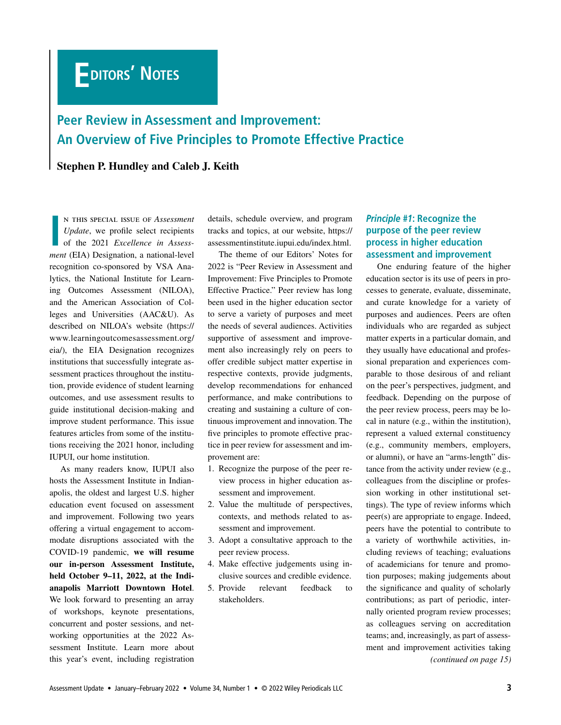# <span id="page-2-0"></span>**Editors' Notes**

# **Peer Review in Assessment and Improvement: An Overview of Five Principles to Promote Effective Practice**

## **Stephen P. Hundley and Caleb J. Keith**

**IV** IN THIS SPECIAL ISSUE OF *Assessment*<br> *Update*, we profile select recipients<br>
of the 2021 *Excellence in Assessment* (EIA) Designation, a national-level n this special issue of *Assessment Update*, we profile select recipients of the 2021 *Excellence in Assess*recognition co-sponsored by VSA Analytics, the National Institute for Learning Outcomes Assessment (NILOA), and the American Association of Colleges and Universities (AAC&U). As described on NILOA's website [\(https://](https://www.learningoutcomesassessment.org/eia/) [www.learningoutcomesassessment.org/](https://www.learningoutcomesassessment.org/eia/) [eia/\)](https://www.learningoutcomesassessment.org/eia/), the EIA Designation recognizes institutions that successfully integrate assessment practices throughout the institution, provide evidence of student learning outcomes, and use assessment results to guide institutional decision-making and improve student performance. This issue features articles from some of the institutions receiving the 2021 honor, including IUPUI, our home institution.

As many readers know, IUPUI also hosts the Assessment Institute in Indianapolis, the oldest and largest U.S. higher education event focused on assessment and improvement. Following two years offering a virtual engagement to accommodate disruptions associated with the COVID-19 pandemic, **we will resume our in-person Assessment Institute, held October 9–11, 2022, at the Indianapolis Marriott Downtown Hotel**. We look forward to presenting an array of workshops, keynote presentations, concurrent and poster sessions, and networking opportunities at the 2022 Assessment Institute. Learn more about this year's event, including registration

details, schedule overview, and program tracks and topics, at our website, [https://](https://assessmentinstitute.iupui.edu/index.html) [assessmentinstitute.iupui.edu/index.html](https://assessmentinstitute.iupui.edu/index.html).

The theme of our Editors' Notes for 2022 is "Peer Review in Assessment and Improvement: Five Principles to Promote Effective Practice." Peer review has long been used in the higher education sector to serve a variety of purposes and meet the needs of several audiences. Activities supportive of assessment and improvement also increasingly rely on peers to offer credible subject matter expertise in respective contexts, provide judgments, develop recommendations for enhanced performance, and make contributions to creating and sustaining a culture of continuous improvement and innovation. The five principles to promote effective practice in peer review for assessment and improvement are:

- 1. Recognize the purpose of the peer review process in higher education assessment and improvement.
- 2. Value the multitude of perspectives, contexts, and methods related to assessment and improvement.
- 3. Adopt a consultative approach to the peer review process.
- 4. Make effective judgements using inclusive sources and credible evidence.
- 5. Provide relevant feedback to stakeholders.

## *Principle #1***: Recognize the purpose of the peer review process in higher education assessment and improvement**

One enduring feature of the higher education sector is its use of peers in processes to generate, evaluate, disseminate, and curate knowledge for a variety of purposes and audiences. Peers are often individuals who are regarded as subject matter experts in a particular domain, and they usually have educational and professional preparation and experiences comparable to those desirous of and reliant on the peer's perspectives, judgment, and feedback. Depending on the purpose of the peer review process, peers may be local in nature (e.g., within the institution), represent a valued external constituency (e.g., community members, employers, or alumni), or have an "arms-length" distance from the activity under review (e.g., colleagues from the discipline or profession working in other institutional settings). The type of review informs which peer(s) are appropriate to engage. Indeed, peers have the potential to contribute to a variety of worthwhile activities, including reviews of teaching; evaluations of academicians for tenure and promotion purposes; making judgements about the significance and quality of scholarly contributions; as part of periodic, internally oriented program review processes; as colleagues serving on accreditation teams; and, increasingly, as part of assessment and improvement activities taking *(continued on page 15)*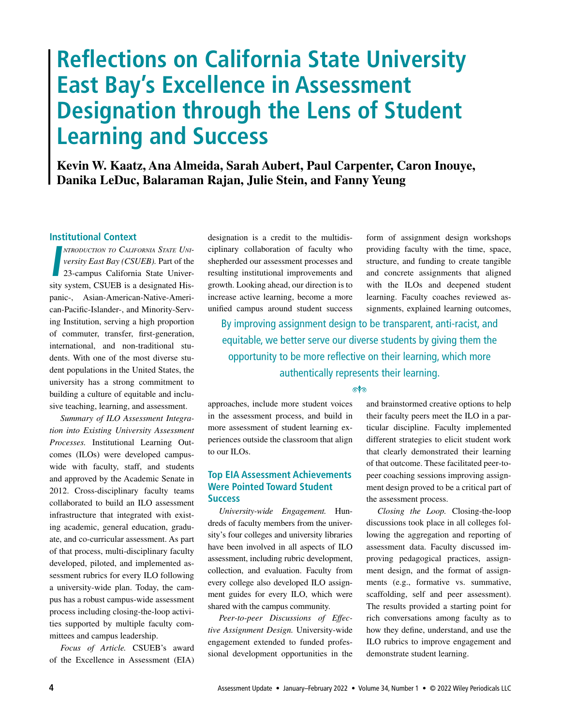# <span id="page-3-0"></span>**Reflections on California State University East Bay's Excellence in Assessment Designation through the Lens of Student Learning and Success**

**Kevin W. Kaatz, Ana Almeida, Sarah Aubert, Paul Carpenter, Caron Inouye, Danika LeDuc, Balaraman Rajan, Julie Stein, and Fanny Yeung**

#### **Institutional Context**

**I** *ntroduction to California State University East Bay (CSUEB).* Part of the 23-campus California State University system, CSUEB is a designated Hispanic-, Asian-American-Native-American-Pacific-Islander-, and Minority-Serving Institution, serving a high proportion of commuter, transfer, first-generation, international, and non-traditional students. With one of the most diverse student populations in the United States, the university has a strong commitment to building a culture of equitable and inclusive teaching, learning, and assessment.

*Summary of ILO Assessment Integration into Existing University Assessment Processes.* Institutional Learning Outcomes (ILOs) were developed campuswide with faculty, staff, and students and approved by the Academic Senate in 2012. Cross-disciplinary faculty teams collaborated to build an ILO assessment infrastructure that integrated with existing academic, general education, graduate, and co-curricular assessment. As part of that process, multi-disciplinary faculty developed, piloted, and implemented assessment rubrics for every ILO following a university-wide plan. Today, the campus has a robust campus-wide assessment process including closing-the-loop activities supported by multiple faculty committees and campus leadership.

*Focus of Article.* CSUEB's award of the Excellence in Assessment (EIA) designation is a credit to the multidisciplinary collaboration of faculty who shepherded our assessment processes and resulting institutional improvements and growth. Looking ahead, our direction is to increase active learning, become a more unified campus around student success form of assignment design workshops providing faculty with the time, space, structure, and funding to create tangible and concrete assignments that aligned with the ILOs and deepened student learning. Faculty coaches reviewed assignments, explained learning outcomes,

By improving assignment design to be transparent, anti-racist, and equitable, we better serve our diverse students by giving them the opportunity to be more reflective on their learning, which more authentically represents their learning.

#### $\bullet\bullet$

approaches, include more student voices in the assessment process, and build in more assessment of student learning experiences outside the classroom that align to our ILOs.

### **Top EIA Assessment Achievements Were Pointed Toward Student Success**

*University-wide Engagement.* Hundreds of faculty members from the university's four colleges and university libraries have been involved in all aspects of ILO assessment, including rubric development, collection, and evaluation. Faculty from every college also developed ILO assignment guides for every ILO, which were shared with the campus community.

*Peer-to-peer Discussions of Effective Assignment Design.* University-wide engagement extended to funded professional development opportunities in the and brainstormed creative options to help their faculty peers meet the ILO in a particular discipline. Faculty implemented different strategies to elicit student work that clearly demonstrated their learning of that outcome. These facilitated peer-topeer coaching sessions improving assignment design proved to be a critical part of the assessment process.

*Closing the Loop.* Closing-the-loop discussions took place in all colleges following the aggregation and reporting of assessment data. Faculty discussed improving pedagogical practices, assignment design, and the format of assignments (e.g., formative vs. summative, scaffolding, self and peer assessment). The results provided a starting point for rich conversations among faculty as to how they define, understand, and use the ILO rubrics to improve engagement and demonstrate student learning.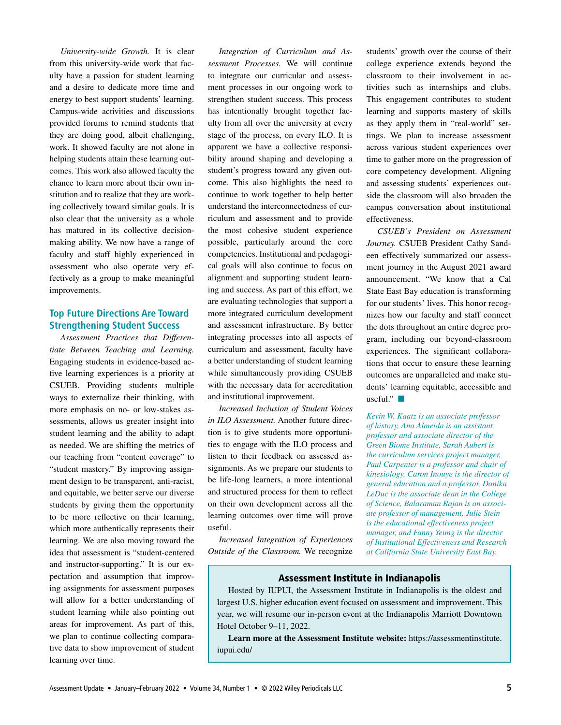*University-wide Growth.* It is clear from this university-wide work that faculty have a passion for student learning and a desire to dedicate more time and energy to best support students' learning. Campus-wide activities and discussions provided forums to remind students that they are doing good, albeit challenging, work. It showed faculty are not alone in helping students attain these learning outcomes. This work also allowed faculty the chance to learn more about their own institution and to realize that they are working collectively toward similar goals. It is also clear that the university as a whole has matured in its collective decisionmaking ability. We now have a range of faculty and staff highly experienced in assessment who also operate very effectively as a group to make meaningful improvements.

### **Top Future Directions Are Toward Strengthening Student Success**

*Assessment Practices that Differentiate Between Teaching and Learning.* Engaging students in evidence-based active learning experiences is a priority at CSUEB. Providing students multiple ways to externalize their thinking, with more emphasis on no- or low-stakes assessments, allows us greater insight into student learning and the ability to adapt as needed. We are shifting the metrics of our teaching from "content coverage" to "student mastery." By improving assignment design to be transparent, anti-racist, and equitable, we better serve our diverse students by giving them the opportunity to be more reflective on their learning, which more authentically represents their learning. We are also moving toward the idea that assessment is "student-centered and instructor-supporting." It is our expectation and assumption that improving assignments for assessment purposes will allow for a better understanding of student learning while also pointing out areas for improvement. As part of this, we plan to continue collecting comparative data to show improvement of student learning over time.

*Integration of Curriculum and Assessment Processes.* We will continue to integrate our curricular and assessment processes in our ongoing work to strengthen student success. This process has intentionally brought together faculty from all over the university at every stage of the process, on every ILO. It is apparent we have a collective responsibility around shaping and developing a student's progress toward any given outcome. This also highlights the need to continue to work together to help better understand the interconnectedness of curriculum and assessment and to provide the most cohesive student experience possible, particularly around the core competencies. Institutional and pedagogical goals will also continue to focus on alignment and supporting student learning and success. As part of this effort, we are evaluating technologies that support a more integrated curriculum development and assessment infrastructure. By better integrating processes into all aspects of curriculum and assessment, faculty have a better understanding of student learning while simultaneously providing CSUEB with the necessary data for accreditation and institutional improvement.

*Increased Inclusion of Student Voices in ILO Assessment.* Another future direction is to give students more opportunities to engage with the ILO process and listen to their feedback on assessed assignments. As we prepare our students to be life-long learners, a more intentional and structured process for them to reflect on their own development across all the learning outcomes over time will prove useful.

*Increased Integration of Experiences Outside of the Classroom.* We recognize students' growth over the course of their college experience extends beyond the classroom to their involvement in activities such as internships and clubs. This engagement contributes to student learning and supports mastery of skills as they apply them in "real-world" settings. We plan to increase assessment across various student experiences over time to gather more on the progression of core competency development. Aligning and assessing students' experiences outside the classroom will also broaden the campus conversation about institutional effectiveness.

*CSUEB's President on Assessment Journey.* CSUEB President Cathy Sandeen effectively summarized our assessment journey in the August 2021 award announcement. "We know that a Cal State East Bay education is transforming for our students' lives. This honor recognizes how our faculty and staff connect the dots throughout an entire degree program, including our beyond-classroom experiences. The significant collaborations that occur to ensure these learning outcomes are unparalleled and make students' learning equitable, accessible and useful." ■

*Kevin W. Kaatz is an associate professor of history, Ana Almeida is an assistant professor and associate director of the Green Biome Institute, Sarah Aubert is the curriculum services project manager, Paul Carpenter is a professor and chair of kinesiology, Caron Inouye is the director of general education and a professor, Danika LeDuc is the associate dean in the College of Science, Balaraman Rajan is an associate professor of management, Julie Stein is the educational effectiveness project manager, and Fanny Yeung is the director of Institutional Effectiveness and Research at California State University East Bay.* 

#### Assessment Institute in Indianapolis

Hosted by [IUPUI,](https://assessmentinstitute.iupui.edu/index.html) the Assessment Institute in Indianapolis is the oldest and largest U.S. higher education event focused on assessment and improvement. This year, we will resume our in-person event at the Indianapolis Marriott Downtown Hotel October 9–11, 2022.

**Learn more at the Assessment Institute website:** [https://assessmentinstitute.](https://assessmentinstitute.iupui.edu/) [iupui.edu/](https://assessmentinstitute.iupui.edu/)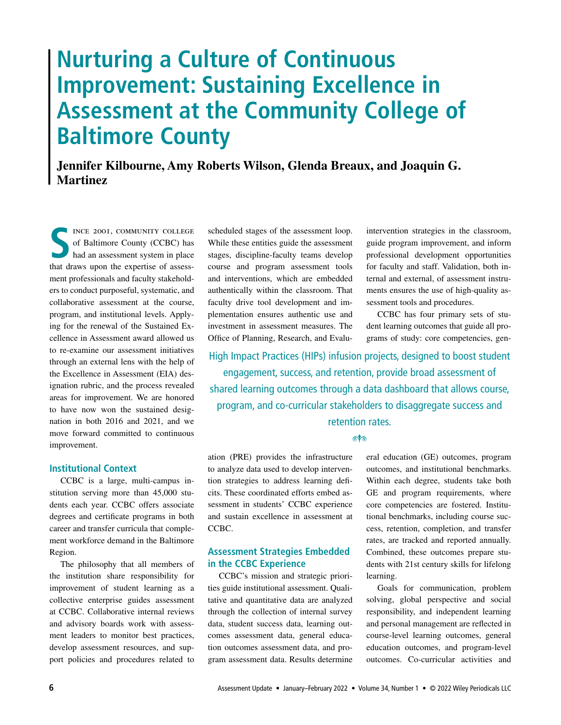# <span id="page-5-0"></span>**Nurturing a Culture of Continuous Improvement: Sustaining Excellence in Assessment at the Community College of Baltimore County**

**Jennifer Kilbourne, Amy Roberts Wilson, Glenda Breaux, and Joaquin G. Martinez**

**S** that draws upon the expertise of assessince 2001, Community College of Baltimore County (CCBC) has had an assessment system in place ment professionals and faculty stakeholders to conduct purposeful, systematic, and collaborative assessment at the course, program, and institutional levels. Applying for the renewal of the Sustained Excellence in Assessment award allowed us to re-examine our assessment initiatives through an external lens with the help of the Excellence in Assessment (EIA) designation rubric, and the process revealed areas for improvement. We are honored to have now won the sustained designation in both 2016 and 2021, and we move forward committed to continuous improvement.

#### **Institutional Context**

CCBC is a large, multi-campus institution serving more than 45,000 students each year. CCBC offers associate degrees and certificate programs in both career and transfer curricula that complement workforce demand in the Baltimore Region.

The philosophy that all members of the institution share responsibility for improvement of student learning as a collective enterprise guides assessment at CCBC. Collaborative internal reviews and advisory boards work with assessment leaders to monitor best practices, develop assessment resources, and support policies and procedures related to scheduled stages of the assessment loop. While these entities guide the assessment stages, discipline-faculty teams develop course and program assessment tools and interventions, which are embedded authentically within the classroom. That faculty drive tool development and implementation ensures authentic use and investment in assessment measures. The Office of Planning, Research, and Evaluintervention strategies in the classroom, guide program improvement, and inform professional development opportunities for faculty and staff. Validation, both internal and external, of assessment instruments ensures the use of high-quality assessment tools and procedures.

CCBC has four primary sets of student learning outcomes that guide all programs of study: core competencies, gen-

High Impact Practices (HIPs) infusion projects, designed to boost student engagement, success, and retention, provide broad assessment of shared learning outcomes through a data dashboard that allows course, program, and co-curricular stakeholders to disaggregate success and retention rates.

#### $\circ t$

ation (PRE) provides the infrastructure to analyze data used to develop intervention strategies to address learning deficits. These coordinated efforts embed assessment in students' CCBC experience and sustain excellence in assessment at CCBC.

#### **Assessment Strategies Embedded in the CCBC Experience**

CCBC's mission and strategic priorities guide institutional assessment. Qualitative and quantitative data are analyzed through the collection of internal survey data, student success data, learning outcomes assessment data, general education outcomes assessment data, and program assessment data. Results determine eral education (GE) outcomes, program outcomes, and institutional benchmarks. Within each degree, students take both GE and program requirements, where core competencies are fostered. Institutional benchmarks, including course success, retention, completion, and transfer rates, are tracked and reported annually. Combined, these outcomes prepare students with 21st century skills for lifelong learning.

Goals for communication, problem solving, global perspective and social responsibility, and independent learning and personal management are reflected in course-level learning outcomes, general education outcomes, and program-level outcomes. Co-curricular activities and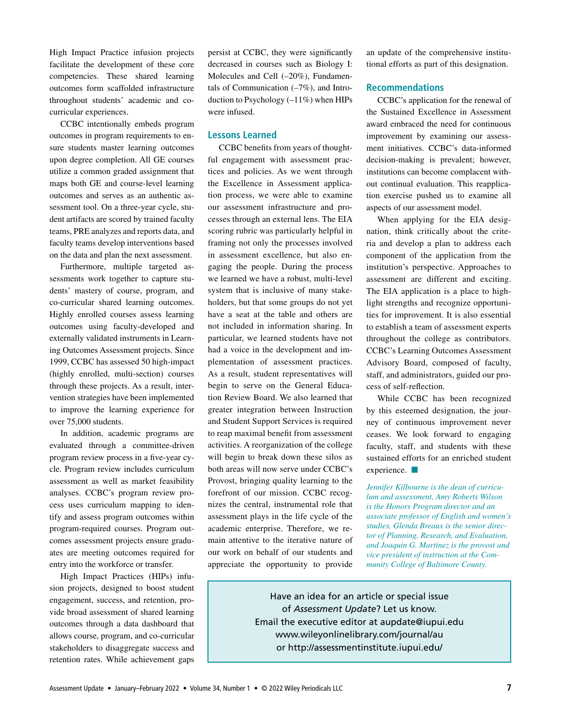High Impact Practice infusion projects facilitate the development of these core competencies. These shared learning outcomes form scaffolded infrastructure throughout students' academic and cocurricular experiences.

CCBC intentionally embeds program outcomes in program requirements to ensure students master learning outcomes upon degree completion. All GE courses utilize a common graded assignment that maps both GE and course-level learning outcomes and serves as an authentic assessment tool. On a three-year cycle, student artifacts are scored by trained faculty teams, PRE analyzes and reports data, and faculty teams develop interventions based on the data and plan the next assessment.

Furthermore, multiple targeted assessments work together to capture students' mastery of course, program, and co-curricular shared learning outcomes. Highly enrolled courses assess learning outcomes using faculty-developed and externally validated instruments in Learning Outcomes Assessment projects. Since 1999, CCBC has assessed 50 high-impact (highly enrolled, multi-section) courses through these projects. As a result, intervention strategies have been implemented to improve the learning experience for over 75,000 students.

In addition, academic programs are evaluated through a committee-driven program review process in a five-year cycle. Program review includes curriculum assessment as well as market feasibility analyses. CCBC's program review process uses curriculum mapping to identify and assess program outcomes within program-required courses. Program outcomes assessment projects ensure graduates are meeting outcomes required for entry into the workforce or transfer.

High Impact Practices (HIPs) infusion projects, designed to boost student engagement, success, and retention, provide broad assessment of shared learning outcomes through a data dashboard that allows course, program, and co-curricular stakeholders to disaggregate success and retention rates. While achievement gaps

persist at CCBC, they were significantly decreased in courses such as Biology I: Molecules and Cell (–20%), Fundamentals of Communication (–7%), and Introduction to Psychology (–11%) when HIPs were infused.

#### **Lessons Learned**

CCBC benefits from years of thoughtful engagement with assessment practices and policies. As we went through the Excellence in Assessment application process, we were able to examine our assessment infrastructure and processes through an external lens. The EIA scoring rubric was particularly helpful in framing not only the processes involved in assessment excellence, but also engaging the people. During the process we learned we have a robust, multi-level system that is inclusive of many stakeholders, but that some groups do not yet have a seat at the table and others are not included in information sharing. In particular, we learned students have not had a voice in the development and implementation of assessment practices. As a result, student representatives will begin to serve on the General Education Review Board. We also learned that greater integration between Instruction and Student Support Services is required to reap maximal benefit from assessment activities. A reorganization of the college will begin to break down these silos as both areas will now serve under CCBC's Provost, bringing quality learning to the forefront of our mission. CCBC recognizes the central, instrumental role that assessment plays in the life cycle of the academic enterprise. Therefore, we remain attentive to the iterative nature of our work on behalf of our students and appreciate the opportunity to provide

an update of the comprehensive institutional efforts as part of this designation.

#### **Recommendations**

CCBC's application for the renewal of the Sustained Excellence in Assessment award embraced the need for continuous improvement by examining our assessment initiatives. CCBC's data-informed decision-making is prevalent; however, institutions can become complacent without continual evaluation. This reapplication exercise pushed us to examine all aspects of our assessment model.

When applying for the EIA designation, think critically about the criteria and develop a plan to address each component of the application from the institution's perspective. Approaches to assessment are different and exciting. The EIA application is a place to highlight strengths and recognize opportunities for improvement. It is also essential to establish a team of assessment experts throughout the college as contributors. CCBC's Learning Outcomes Assessment Advisory Board, composed of faculty, staff, and administrators, guided our process of self-reflection.

While CCBC has been recognized by this esteemed designation, the journey of continuous improvement never ceases. We look forward to engaging faculty, staff, and students with these sustained efforts for an enriched student experience. ■

*Jennifer Kilbourne is the dean of curriculum and assessment, Amy Roberts Wilson is the Honors Program director and an associate professor of English and women's studies, Glenda Breaux is the senior director of Planning, Research, and Evaluation, and Joaquin G. Martinez is the provost and vice president of instruction at the Community College of Baltimore County.*

Have an idea for an article or special issue of *Assessment Update*? Let us know. Email the executive editor at [aupdate@iupui.edu](mailto:aupdate@iupui.edu) [www.wileyonlinelibrary.com/journal/au](http://www.wileyonlinelibrary.com/journal/au) or <http://assessmentinstitute.iupui.edu/>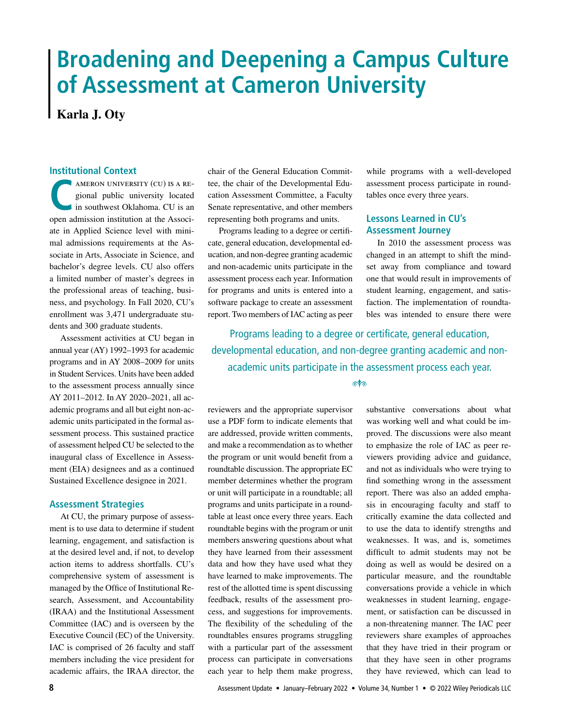# <span id="page-7-0"></span>**Broadening and Deepening a Campus Culture of Assessment at Cameron University**

**Karla J. Oty**

#### **Institutional Context**

**CAMERON UNIVERSITY (CU) IS A RE-**<br>
in southwest Oklahoma. CU is an<br> **COM** is an gional public university located open admission institution at the Associate in Applied Science level with minimal admissions requirements at the Associate in Arts, Associate in Science, and bachelor's degree levels. CU also offers a limited number of master's degrees in the professional areas of teaching, business, and psychology. In Fall 2020, CU's enrollment was 3,471 undergraduate students and 300 graduate students.

Assessment activities at CU began in annual year (AY) 1992–1993 for academic programs and in AY 2008–2009 for units in Student Services. Units have been added to the assessment process annually since AY 2011–2012. In AY 2020–2021, all academic programs and all but eight non-academic units participated in the formal assessment process. This sustained practice of assessment helped CU be selected to the inaugural class of Excellence in Assessment (EIA) designees and as a continued Sustained Excellence designee in 2021.

#### **Assessment Strategies**

At CU, the primary purpose of assessment is to use data to determine if student learning, engagement, and satisfaction is at the desired level and, if not, to develop action items to address shortfalls. CU's comprehensive system of assessment is managed by the Office of Institutional Research, Assessment, and Accountability (IRAA) and the Institutional Assessment Committee (IAC) and is overseen by the Executive Council (EC) of the University. IAC is comprised of 26 faculty and staff members including the vice president for academic affairs, the IRAA director, the

chair of the General Education Committee, the chair of the Developmental Education Assessment Committee, a Faculty Senate representative, and other members representing both programs and units.

Programs leading to a degree or certificate, general education, developmental education, and non-degree granting academic and non-academic units participate in the assessment process each year. Information for programs and units is entered into a software package to create an assessment report. Two members of IAC acting as peer

Programs leading to a degree or certificate, general education, developmental education, and non-degree granting academic and nonacademic units participate in the assessment process each year.  $\circ \lozenge$ 

reviewers and the appropriate supervisor use a PDF form to indicate elements that are addressed, provide written comments, and make a recommendation as to whether the program or unit would benefit from a roundtable discussion. The appropriate EC member determines whether the program or unit will participate in a roundtable; all programs and units participate in a roundtable at least once every three years. Each roundtable begins with the program or unit members answering questions about what they have learned from their assessment data and how they have used what they have learned to make improvements. The rest of the allotted time is spent discussing feedback, results of the assessment process, and suggestions for improvements. The flexibility of the scheduling of the roundtables ensures programs struggling with a particular part of the assessment process can participate in conversations each year to help them make progress,

substantive conversations about what was working well and what could be improved. The discussions were also meant to emphasize the role of IAC as peer reviewers providing advice and guidance, and not as individuals who were trying to find something wrong in the assessment report. There was also an added emphasis in encouraging faculty and staff to critically examine the data collected and to use the data to identify strengths and weaknesses. It was, and is, sometimes difficult to admit students may not be doing as well as would be desired on a particular measure, and the roundtable conversations provide a vehicle in which weaknesses in student learning, engagement, or satisfaction can be discussed in a non-threatening manner. The IAC peer reviewers share examples of approaches that they have tried in their program or that they have seen in other programs they have reviewed, which can lead to

while programs with a well-developed assessment process participate in round-

In 2010 the assessment process was changed in an attempt to shift the mindset away from compliance and toward one that would result in improvements of student learning, engagement, and satisfaction. The implementation of roundtables was intended to ensure there were

tables once every three years.

**Lessons Learned in CU's Assessment Journey**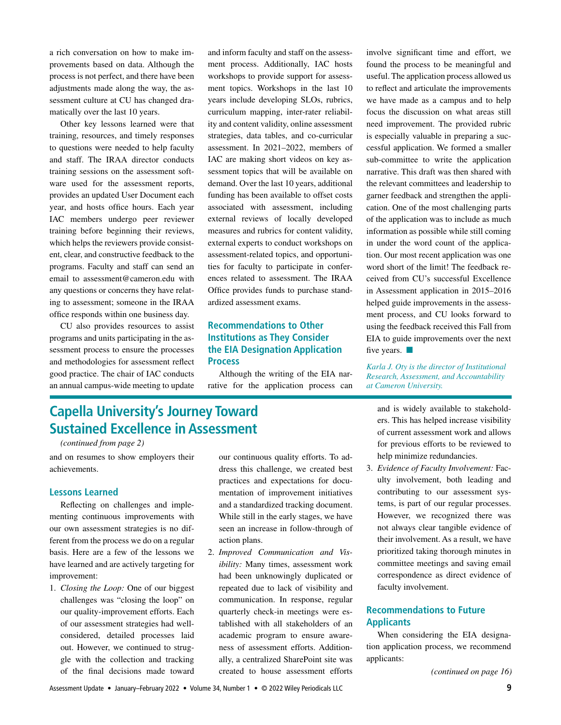a rich conversation on how to make improvements based on data. Although the process is not perfect, and there have been adjustments made along the way, the assessment culture at CU has changed dramatically over the last 10 years.

Other key lessons learned were that training, resources, and timely responses to questions were needed to help faculty and staff. The IRAA director conducts training sessions on the assessment software used for the assessment reports, provides an updated User Document each year, and hosts office hours. Each year IAC members undergo peer reviewer training before beginning their reviews, which helps the reviewers provide consistent, clear, and constructive feedback to the programs. Faculty and staff can send an email to assessment@cameron.edu with any questions or concerns they have relating to assessment; someone in the IRAA office responds within one business day.

CU also provides resources to assist programs and units participating in the assessment process to ensure the processes and methodologies for assessment reflect good practice. The chair of IAC conducts an annual campus-wide meeting to update and inform faculty and staff on the assessment process. Additionally, IAC hosts workshops to provide support for assessment topics. Workshops in the last 10 years include developing SLOs, rubrics, curriculum mapping, inter-rater reliability and content validity, online assessment strategies, data tables, and co-curricular assessment. In 2021–2022, members of IAC are making short videos on key assessment topics that will be available on demand. Over the last 10 years, additional funding has been available to offset costs associated with assessment, including external reviews of locally developed measures and rubrics for content validity, external experts to conduct workshops on assessment-related topics, and opportunities for faculty to participate in conferences related to assessment. The IRAA Office provides funds to purchase standardized assessment exams.

### **Recommendations to Other Institutions as They Consider the EIA Designation Application Process**

Although the writing of the EIA narrative for the application process can involve significant time and effort, we found the process to be meaningful and useful. The application process allowed us to reflect and articulate the improvements we have made as a campus and to help focus the discussion on what areas still need improvement. The provided rubric is especially valuable in preparing a successful application. We formed a smaller sub-committee to write the application narrative. This draft was then shared with the relevant committees and leadership to garner feedback and strengthen the application. One of the most challenging parts of the application was to include as much information as possible while still coming in under the word count of the application. Our most recent application was one word short of the limit! The feedback received from CU's successful Excellence in Assessment application in 2015–2016 helped guide improvements in the assessment process, and CU looks forward to using the feedback received this Fall from EIA to guide improvements over the next five years.

*Karla J. Oty is the director of Institutional Research, Assessment, and Accountability at Cameron University.*

# **Capella University's Journey Toward Sustained Excellence in Assessment**

*(continued from page 2)*

and on resumes to show employers their achievements.

#### **Lessons Learned**

Reflecting on challenges and implementing continuous improvements with our own assessment strategies is no different from the process we do on a regular basis. Here are a few of the lessons we have learned and are actively targeting for improvement:

1. *Closing the Loop:* One of our biggest challenges was "closing the loop" on our quality-improvement efforts. Each of our assessment strategies had wellconsidered, detailed processes laid out. However, we continued to struggle with the collection and tracking of the final decisions made toward

our continuous quality efforts. To address this challenge, we created best practices and expectations for documentation of improvement initiatives and a standardized tracking document. While still in the early stages, we have seen an increase in follow-through of action plans.

2. *Improved Communication and Visibility:* Many times, assessment work had been unknowingly duplicated or repeated due to lack of visibility and communication. In response, regular quarterly check-in meetings were established with all stakeholders of an academic program to ensure awareness of assessment efforts. Additionally, a centralized SharePoint site was created to house assessment efforts and is widely available to stakeholders. This has helped increase visibility of current assessment work and allows for previous efforts to be reviewed to help minimize redundancies.

3. *Evidence of Faculty Involvement:* Faculty involvement, both leading and contributing to our assessment systems, is part of our regular processes. However, we recognized there was not always clear tangible evidence of their involvement. As a result, we have prioritized taking thorough minutes in committee meetings and saving email correspondence as direct evidence of faculty involvement.

### **Recommendations to Future Applicants**

When considering the EIA designation application process, we recommend applicants:

*(continued on page 16)*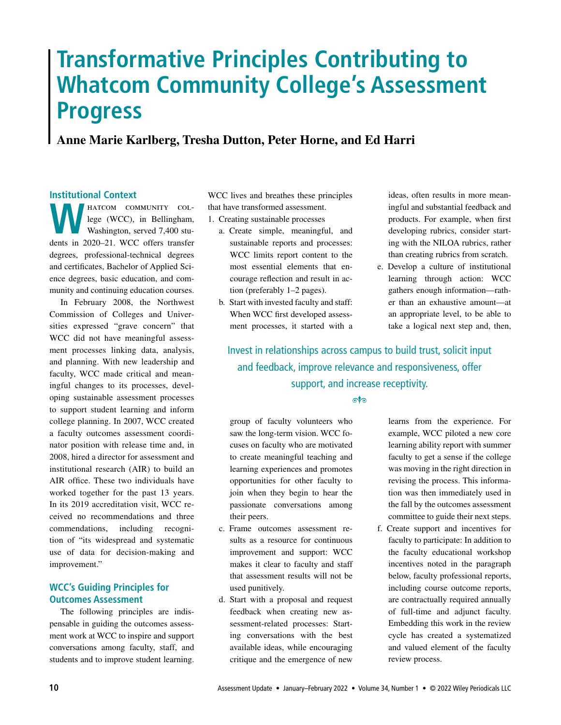# <span id="page-9-0"></span>**Transformative Principles Contributing to Whatcom Community College's Assessment Progress**

# **Anne Marie Karlberg, Tresha Dutton, Peter Horne, and Ed Harri**

#### **Institutional Context**

**WE HATCOM COMMUNITY COL-**<br>lege (WCC), in Bellingham,<br>Washington, served 7,400 stulege (WCC), in Bellingham, Washington, served 7,400 students in 2020–21. WCC offers transfer degrees, professional-technical degrees and certificates, Bachelor of Applied Science degrees, basic education, and community and continuing education courses.

In February 2008, the Northwest Commission of Colleges and Universities expressed "grave concern" that WCC did not have meaningful assessment processes linking data, analysis, and planning. With new leadership and faculty, WCC made critical and meaningful changes to its processes, developing sustainable assessment processes to support student learning and inform college planning. In 2007, WCC created a faculty outcomes assessment coordinator position with release time and, in 2008, hired a director for assessment and institutional research (AIR) to build an AIR office. These two individuals have worked together for the past 13 years. In its 2019 accreditation visit, WCC received no recommendations and three commendations, including recognition of "its widespread and systematic use of data for decision-making and improvement."

### **WCC's Guiding Principles for Outcomes Assessment**

The following principles are indispensable in guiding the outcomes assessment work at WCC to inspire and support conversations among faculty, staff, and students and to improve student learning.

WCC lives and breathes these principles that have transformed assessment.

- 1. Creating sustainable processes
	- a. Create simple, meaningful, and sustainable reports and processes: WCC limits report content to the most essential elements that encourage reflection and result in action (preferably 1–2 pages).
	- b. Start with invested faculty and staff: When WCC first developed assessment processes, it started with a

ideas, often results in more meaningful and substantial feedback and products. For example, when first developing rubrics, consider starting with the NILOA rubrics, rather than creating rubrics from scratch.

e. Develop a culture of institutional learning through action: WCC gathers enough information—rather than an exhaustive amount—at an appropriate level, to be able to take a logical next step and, then,

Invest in relationships across campus to build trust, solicit input and feedback, improve relevance and responsiveness, offer support, and increase receptivity.  $\circ \lozenge$ 

group of faculty volunteers who saw the long-term vision. WCC focuses on faculty who are motivated to create meaningful teaching and learning experiences and promotes opportunities for other faculty to join when they begin to hear the passionate conversations among their peers.

- c. Frame outcomes assessment results as a resource for continuous improvement and support: WCC makes it clear to faculty and staff that assessment results will not be used punitively.
- d. Start with a proposal and request feedback when creating new assessment-related processes: Starting conversations with the best available ideas, while encouraging critique and the emergence of new

learns from the experience. For example, WCC piloted a new core learning ability report with summer faculty to get a sense if the college was moving in the right direction in revising the process. This information was then immediately used in the fall by the outcomes assessment committee to guide their next steps.

f. Create support and incentives for faculty to participate: In addition to the faculty educational workshop incentives noted in the paragraph below, faculty professional reports, including course outcome reports, are contractually required annually of full-time and adjunct faculty. Embedding this work in the review cycle has created a systematized and valued element of the faculty review process.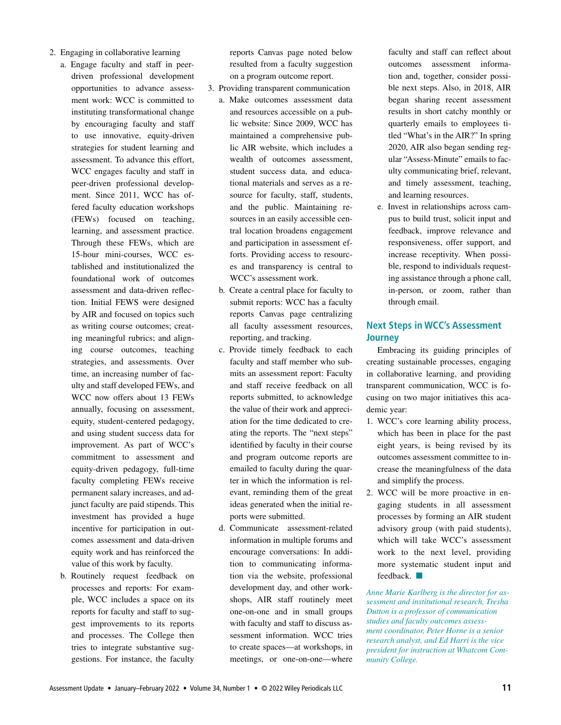- 2. Engaging in collaborative learning
	- a. Engage faculty and staff in peerdriven professional development opportunities to advance assessment work: WCC is committed to instituting transformational change by encouraging faculty and staff to use innovative, equity-driven strategies for student learning and assessment. To advance this effort, WCC engages faculty and staff in peer-driven professional development. Since 2011, WCC has offered faculty education workshops (FEWs) focused on teaching, learning, and assessment practice. Through these FEWs, which are 15-hour mini-courses, WCC established and institutionalized the foundational work of outcomes assessment and data-driven reflection. Initial FEWS were designed by AIR and focused on topics such as writing course outcomes; creating meaningful rubrics; and aligning course outcomes, teaching strategies, and assessments. Over time, an increasing number of faculty and staff developed FEWs, and WCC now offers about 13 [FEWs](https://bit.ly/31DY4qF)  annually, focusing on assessment, equity, student-centered pedagogy, and using student success data for improvement. As part of WCC's commitment to assessment and equity-driven pedagogy, full-time faculty completing FEWs receive permanent salary increases, and adjunct faculty are paid stipends. This investment has provided a huge incentive for participation in outcomes assessment and data-driven equity work and has reinforced the value of this work by faculty.
	- b. Routinely request feedback on processes and reports: For example, WCC includes a space on its reports for faculty and staff to suggest improvements to its reports and processes. The College then tries to integrate substantive suggestions. For instance, the faculty

reports Canvas page noted below resulted from a faculty suggestion on a program outcome report.

- 3. Providing transparent communication
	- a. Make outcomes assessment data and resources accessible on a public website: Since 2009, WCC has maintained a comprehensive public [AIR website,](http://faculty.whatcom.ctc.edu/InstResearch/index.htm) which includes a wealth of outcomes assessment, student success data, and educational materials and serves as a resource for faculty, staff, students, and the public. Maintaining resources in an easily accessible central location broadens engagement and participation in assessment efforts. Providing access to resources and transparency is central to WCC's assessment work.
	- b. Create a central place for faculty to submit reports: WCC has a faculty reports Canvas page centralizing all faculty assessment resources, reporting, and tracking.
	- c. Provide timely feedback to each faculty and staff member who submits an assessment report: Faculty and staff receive feedback on all reports submitted, to acknowledge the value of their work and appreciation for the time dedicated to creating the reports. The "next steps" identified by faculty in their course and program outcome reports are emailed to faculty during the quarter in which the information is relevant, reminding them of the great ideas generated when the initial reports were submitted.
	- d. Communicate assessment-related information in multiple forums and encourage conversations: In addition to communicating information via the website, professional development day, and other workshops, AIR staff routinely meet one-on-one and in small groups with faculty and staff to discuss assessment information. WCC tries to create spaces—at workshops, in meetings, or one-on-one—where

faculty and staff can reflect about outcomes assessment information and, together, consider possible next steps. Also, in 2018, AIR began sharing recent assessment results in short catchy monthly or quarterly emails to employees titled "[What's in the AIR](http://faculty.whatcom.ctc.edu/InstResearch/IR/AssessmentLearningTeachingResources/WhatsInTheAIR/WhatsInTheAIR.html)?" In spring 2020, AIR also began sending regular ["Assess-Minute"](http://faculty.whatcom.ctc.edu/InstResearch/IR/AssessmentLearningTeachingResources/Assess-Minutes/Assess-Minutes.html) emails to faculty communicating brief, relevant, and timely assessment, teaching, and learning resources.

e. Invest in relationships across campus to build trust, solicit input and feedback, improve relevance and responsiveness, offer support, and increase receptivity. When possible, respond to individuals requesting assistance through a phone call, in-person, or zoom, rather than through email.

### **Next Steps in WCC's Assessment Journey**

Embracing its guiding principles of creating sustainable processes, engaging in collaborative learning, and providing transparent communication, WCC is focusing on two major initiatives this academic year:

- 1. WCC's core learning ability process, which has been in place for the past eight years, is being revised by its outcomes assessment committee to increase the meaningfulness of the data and simplify the process.
- 2. WCC will be more proactive in engaging students in all assessment processes by forming an AIR student advisory group (with paid students), which will take WCC's assessment work to the next level, providing more systematic student input and feedback. ■

*Anne Marie Karlberg is the director for assessment and institutional research, Tresha Dutton is a professor of communication studies and faculty outcomes assessment coordinator, Peter Horne is a senior research analyst, and Ed Harri is the vice president for instruction at Whatcom Community College.*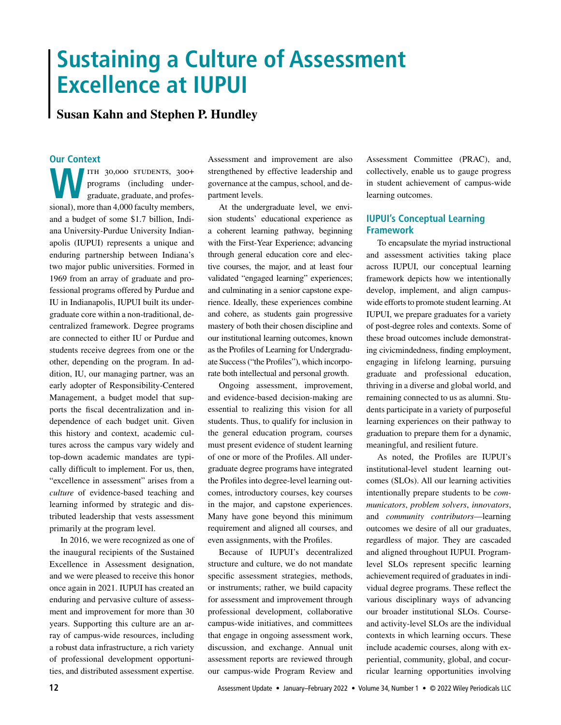# <span id="page-11-0"></span>**Sustaining a Culture of Assessment Excellence at IUPUI**

# **Susan Kahn and Stephen P. Hundley**

#### **Our Context**

**ITH 30,000 STUDENTS, 300+** programs (including undergraduate, graduate, and professional), more than 4,000 faculty members, and a budget of some \$1.7 billion, Indiana University-Purdue University Indianapolis (IUPUI) represents a unique and enduring partnership between Indiana's two major public universities. Formed in 1969 from an array of graduate and professional programs offered by Purdue and IU in Indianapolis, IUPUI built its undergraduate core within a non-traditional, decentralized framework. Degree programs are connected to either IU or Purdue and students receive degrees from one or the other, depending on the program. In addition, IU, our managing partner, was an early adopter of Responsibility-Centered Management, a budget model that supports the fiscal decentralization and independence of each budget unit. Given this history and context, academic cultures across the campus vary widely and top-down academic mandates are typically difficult to implement. For us, then, "excellence in assessment" arises from a *culture* of evidence-based teaching and learning informed by strategic and distributed leadership that vests assessment primarily at the program level.

In 2016, we were recognized as one of the inaugural recipients of the Sustained Excellence in Assessment designation, and we were pleased to receive this honor once again in 2021. IUPUI has created an enduring and pervasive culture of assessment and improvement for more than 30 years. Supporting this culture are an array of campus-wide resources, including a robust data infrastructure, a rich variety of professional development opportunities, and distributed assessment expertise.

Assessment and improvement are also strengthened by effective leadership and governance at the campus, school, and department levels.

At the undergraduate level, we envision students' educational experience as a coherent learning pathway, beginning with the First-Year Experience; advancing through general education core and elective courses, the major, and at least four validated "engaged learning" experiences; and culminating in a senior capstone experience. Ideally, these experiences combine and cohere, as students gain progressive mastery of both their chosen discipline and our institutional learning outcomes, known as the Profiles of Learning for Undergraduate Success ("the Profiles"), which incorporate both intellectual and personal growth.

Ongoing assessment, improvement, and evidence-based decision-making are essential to realizing this vision for all students. Thus, to qualify for inclusion in the general education program, courses must present evidence of student learning of one or more of the Profiles. All undergraduate degree programs have integrated the Profiles into degree-level learning outcomes, introductory courses, key courses in the major, and capstone experiences. Many have gone beyond this minimum requirement and aligned all courses, and even assignments, with the Profiles.

Because of IUPUI's decentralized structure and culture, we do not mandate specific assessment strategies, methods, or instruments; rather, we build capacity for assessment and improvement through professional development, collaborative campus-wide initiatives, and committees that engage in ongoing assessment work, discussion, and exchange. Annual unit assessment reports are reviewed through our campus-wide Program Review and

Assessment Committee (PRAC), and, collectively, enable us to gauge progress in student achievement of campus-wide learning outcomes.

#### **IUPUI's Conceptual Learning Framework**

To encapsulate the myriad instructional and assessment activities taking place across IUPUI, our conceptual learning framework depicts how we intentionally develop, implement, and align campuswide efforts to promote student learning. At IUPUI, we prepare graduates for a variety of post-degree roles and contexts. Some of these broad outcomes include demonstrating civicmindedness, finding employment, engaging in lifelong learning, pursuing graduate and professional education, thriving in a diverse and global world, and remaining connected to us as alumni. Students participate in a variety of purposeful learning experiences on their pathway to graduation to prepare them for a dynamic, meaningful, and resilient future.

As noted, the Profiles are IUPUI's institutional-level student learning outcomes (SLOs). All our learning activities intentionally prepare students to be *communicators*, *problem solvers*, *innovators*, and *community contributors*—learning outcomes we desire of all our graduates, regardless of major. They are cascaded and aligned throughout IUPUI. Programlevel SLOs represent specific learning achievement required of graduates in individual degree programs. These reflect the various disciplinary ways of advancing our broader institutional SLOs. Courseand activity-level SLOs are the individual contexts in which learning occurs. These include academic courses, along with experiential, community, global, and cocurricular learning opportunities involving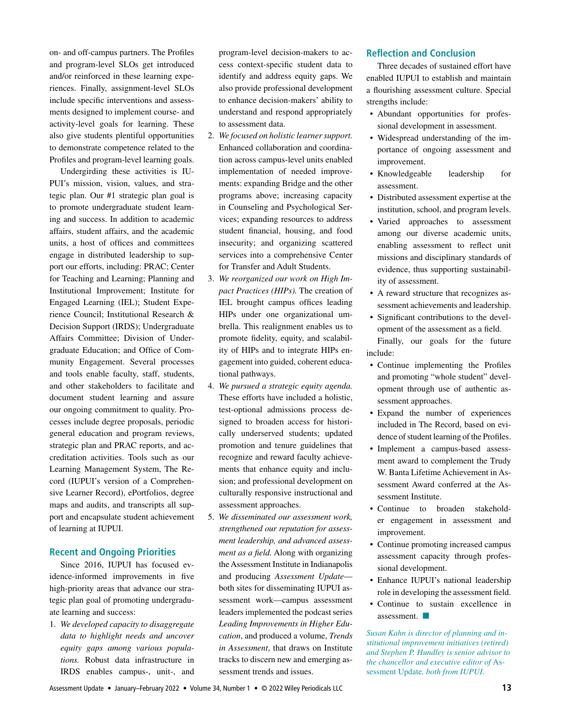on- and off-campus partners. The Profiles and program-level SLOs get introduced and/or reinforced in these learning experiences. Finally, assignment-level SLOs include specific interventions and assessments designed to implement course- and activity-level goals for learning. These also give students plentiful opportunities to demonstrate competence related to the Profiles and program-level learning goals.

Undergirding these activities is IU-PUI's mission, vision, values, and strategic plan. Our #1 strategic plan goal is to promote undergraduate student learning and success. In addition to academic affairs, student affairs, and the academic units, a host of offices and committees engage in distributed leadership to support our efforts, including: PRAC; Center for Teaching and Learning; Planning and Institutional Improvement; Institute for Engaged Learning (IEL); Student Experience Council; Institutional Research & Decision Support (IRDS); Undergraduate Affairs Committee; Division of Undergraduate Education; and Office of Community Engagement. Several processes and tools enable faculty, staff, students, and other stakeholders to facilitate and document student learning and assure our ongoing commitment to quality. Processes include degree proposals, periodic general education and program reviews, strategic plan and PRAC reports, and accreditation activities. Tools such as our Learning Management System, The Record (IUPUI's version of a Comprehensive Learner Record), ePortfolios, degree maps and audits, and transcripts all support and encapsulate student achievement of learning at IUPUI.

#### **Recent and Ongoing Priorities**

Since 2016, IUPUI has focused evidence-informed improvements in five high-priority areas that advance our strategic plan goal of promoting undergraduate learning and success:

1. *We developed capacity to disaggregate data to highlight needs and uncover equity gaps among various populations.* Robust data infrastructure in IRDS enables campus-, unit-, and

program-level decision-makers to access context-specific student data to identify and address equity gaps. We also provide professional development to enhance decision-makers' ability to understand and respond appropriately to assessment data.

- 2. *We focused on holistic learner support.* Enhanced collaboration and coordination across campus-level units enabled implementation of needed improvements: expanding Bridge and the other programs above; increasing capacity in Counseling and Psychological Services; expanding resources to address student financial, housing, and food insecurity; and organizing scattered services into a comprehensive Center for Transfer and Adult Students.
- 3. *We reorganized our work on High Impact Practices (HIPs).* The creation of IEL brought campus offices leading HIPs under one organizational umbrella. This realignment enables us to promote fidelity, equity, and scalability of HIPs and to integrate HIPs engagement into guided, coherent educational pathways.
- 4. *We pursued a strategic equity agenda.* These efforts have included a holistic, test-optional admissions process designed to broaden access for historically underserved students; updated promotion and tenure guidelines that recognize and reward faculty achievements that enhance equity and inclusion; and professional development on culturally responsive instructional and assessment approaches.
- 5. *We disseminated our assessment work, strengthened our reputation for assessment leadership, and advanced assessment as a field.* Along with organizing the Assessment Institute in Indianapolis and producing *Assessment Update* both sites for disseminating IUPUI assessment work—campus assessment leaders implemented the podcast series *Leading Improvements in Higher Education*, and produced a volume, *Trends in Assessment*, that draws on Institute tracks to discern new and emerging assessment trends and issues.

#### **Reflection and Conclusion**

Three decades of sustained effort have enabled IUPUI to establish and maintain a flourishing assessment culture. Special strengths include:

- Abundant opportunities for professional development in assessment.
- Widespread understanding of the importance of ongoing assessment and improvement.
- Knowledgeable leadership for assessment.
- Distributed assessment expertise at the institution, school, and program levels.
- Varied approaches to assessment among our diverse academic units, enabling assessment to reflect unit missions and disciplinary standards of evidence, thus supporting sustainability of assessment.
- A reward structure that recognizes assessment achievements and leadership.
- Significant contributions to the development of the assessment as a field. Finally, our goals for the future include:
- Continue implementing the Profiles and promoting "whole student" development through use of authentic assessment approaches.
- Expand the number of experiences included in The Record, based on evidence of student learning of the Profiles.
- Implement a campus-based assessment award to complement the Trudy W. Banta Lifetime Achievement in Assessment Award conferred at the Assessment Institute.
- Continue to broaden stakeholder engagement in assessment and improvement.
- Continue promoting increased campus assessment capacity through professional development.
- Enhance IUPUI's national leadership role in developing the assessment field.
- Continue to sustain excellence in assessment. ■

*Susan Kahn is director of planning and institutional improvement initiatives (retired) and Stephen P. Hundley is senior advisor to the chancellor and executive editor of* Assessment Update*, both from IUPUI.*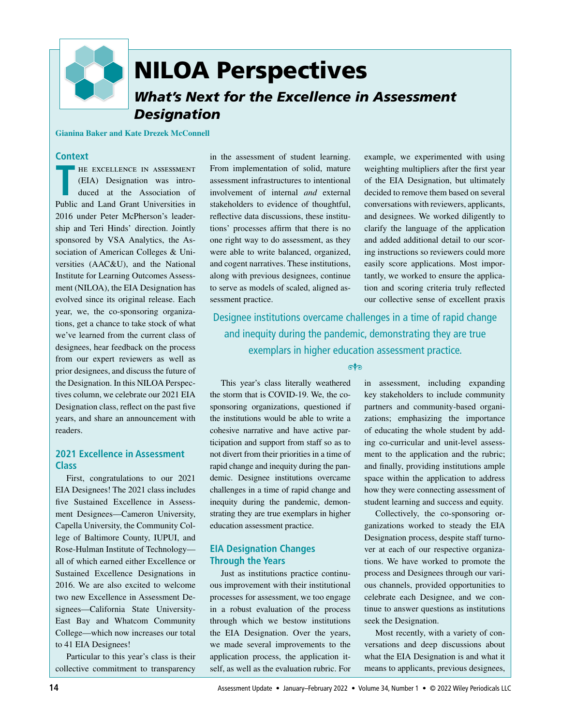

# NILOA Perspectives *What's Next for the Excellence in Assessment Designation*

#### **Gianina Baker and Kate Drezek McConnell**

#### **Context**

**THE EXCELLENCE IN ASSESSMENT**<br>
(EIA) Designation was intro-<br>
duced at the Association of<br>
Public and Land Grant Universities in HE EXCELLENCE IN ASSESSMENT (EIA) Designation was introduced at the Association of 2016 under Peter McPherson's leadership and Teri Hinds' direction. Jointly sponsored by VSA Analytics, the Association of American Colleges & Universities (AAC&U), and the National Institute for Learning Outcomes Assessment (NILOA), the EIA Designation has evolved since its original release. Each year, we, the co-sponsoring organizations, get a chance to take stock of what we've learned from the current class of designees, hear feedback on the process from our expert reviewers as well as prior designees, and discuss the future of the Designation. In this NILOA Perspectives column, we celebrate our 2021 EIA Designation class, reflect on the past five years, and share an announcement with readers.

## **2021 Excellence in Assessment Class**

First, congratulations to our 2021 EIA Designees! The 2021 class includes five Sustained Excellence in Assessment Designees—Cameron University, Capella University, the Community College of Baltimore County, IUPUI, and Rose-Hulman Institute of Technology all of which earned either Excellence or Sustained Excellence Designations in 2016. We are also excited to welcome two new Excellence in Assessment Designees—California State University-East Bay and Whatcom Community College—which now increases our total to 41 EIA Designees!

Particular to this year's class is their collective commitment to transparency

in the assessment of student learning. From implementation of solid, mature assessment infrastructures to intentional involvement of internal *and* external stakeholders to evidence of thoughtful, reflective data discussions, these institutions' processes affirm that there is no one right way to do assessment, as they were able to write balanced, organized, and cogent narratives. These institutions, along with previous designees, continue to serve as models of scaled, aligned assessment practice.

our collective sense of excellent praxis Designee institutions overcame challenges in a time of rapid change and inequity during the pandemic, demonstrating they are true exemplars in higher education assessment practice.

#### $\circ \lozenge$

This year's class literally weathered the storm that is COVID-19. We, the cosponsoring organizations, questioned if the institutions would be able to write a cohesive narrative and have active participation and support from staff so as to not divert from their priorities in a time of rapid change and inequity during the pandemic. Designee institutions overcame challenges in a time of rapid change and inequity during the pandemic, demonstrating they are true exemplars in higher education assessment practice.

#### **EIA Designation Changes Through the Years**

Just as institutions practice continuous improvement with their institutional processes for assessment, we too engage in a robust evaluation of the process through which we bestow institutions the EIA Designation. Over the years, we made several improvements to the application process, the application itself, as well as the evaluation rubric. For in assessment, including expanding key stakeholders to include community partners and community-based organizations; emphasizing the importance of educating the whole student by adding co-curricular and unit-level assessment to the application and the rubric; and finally, providing institutions ample space within the application to address how they were connecting assessment of student learning and success and equity.

example, we experimented with using weighting multipliers after the first year of the EIA Designation, but ultimately decided to remove them based on several conversations with reviewers, applicants, and designees. We worked diligently to clarify the language of the application and added additional detail to our scoring instructions so reviewers could more easily score applications. Most importantly, we worked to ensure the application and scoring criteria truly reflected

Collectively, the co-sponsoring organizations worked to steady the EIA Designation process, despite staff turnover at each of our respective organizations. We have worked to promote the process and Designees through our various channels, provided opportunities to celebrate each Designee, and we continue to answer questions as institutions seek the Designation.

Most recently, with a variety of conversations and deep discussions about what the EIA Designation is and what it means to applicants, previous designees,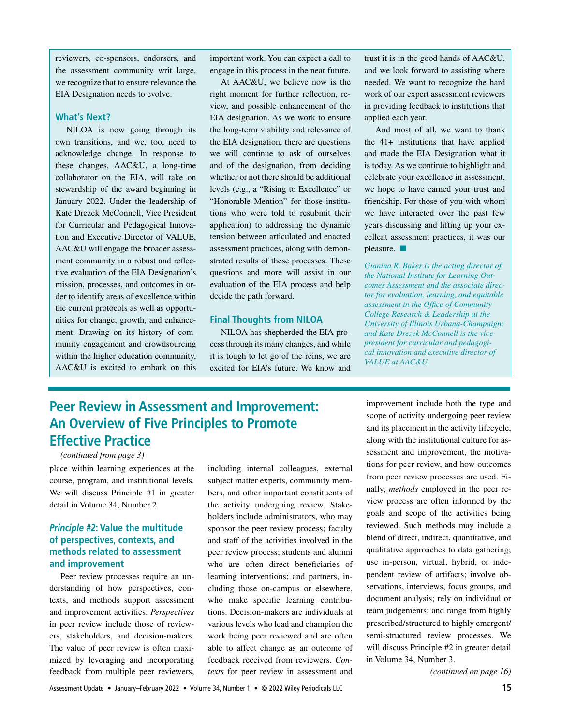reviewers, co-sponsors, endorsers, and the assessment community writ large, we recognize that to ensure relevance the EIA Designation needs to evolve.

#### **What's Next?**

NILOA is now going through its own transitions, and we, too, need to acknowledge change. In response to these changes, AAC&U, a long-time collaborator on the EIA, will take on stewardship of the award beginning in January 2022. Under the leadership of Kate Drezek McConnell, Vice President for Curricular and Pedagogical Innovation and Executive Director of VALUE, AAC&U will engage the broader assessment community in a robust and reflective evaluation of the EIA Designation's mission, processes, and outcomes in order to identify areas of excellence within the current protocols as well as opportunities for change, growth, and enhancement. Drawing on its history of community engagement and crowdsourcing within the higher education community, AAC&U is excited to embark on this

important work. You can expect a call to engage in this process in the near future.

At AAC&U, we believe now is the right moment for further reflection, review, and possible enhancement of the EIA designation. As we work to ensure the long-term viability and relevance of the EIA designation, there are questions we will continue to ask of ourselves and of the designation, from deciding whether or not there should be additional levels (e.g., a "Rising to Excellence" or "Honorable Mention" for those institutions who were told to resubmit their application) to addressing the dynamic tension between articulated and enacted assessment practices, along with demonstrated results of these processes. These questions and more will assist in our evaluation of the EIA process and help decide the path forward.

#### **Final Thoughts from NILOA**

NILOA has shepherded the EIA process through its many changes, and while it is tough to let go of the reins, we are excited for EIA's future. We know and trust it is in the good hands of AAC&U, and we look forward to assisting where needed. We want to recognize the hard work of our expert assessment reviewers in providing feedback to institutions that applied each year.

And most of all, we want to thank the 41+ institutions that have applied and made the EIA Designation what it is today. As we continue to highlight and celebrate your excellence in assessment, we hope to have earned your trust and friendship. For those of you with whom we have interacted over the past few years discussing and lifting up your excellent assessment practices, it was our pleasure. ■

*Gianina R. Baker is the acting director of the National Institute for Learning Outcomes Assessment and the associate director for evaluation, learning, and equitable assessment in the Office of Community College Research & Leadership at the University of Illinois Urbana-Champaign; and Kate Drezek McConnell is the vice president for curricular and pedagogical innovation and executive director of VALUE at AAC&U.* 

# **Peer Review in Assessment and Improvement: An Overview of Five Principles to Promote Effective Practice**

#### *(continued from page 3)*

place within learning experiences at the course, program, and institutional levels. We will discuss Principle #1 in greater detail in Volume 34, Number 2.

### *Principle #2***: Value the multitude of perspectives, contexts, and methods related to assessment and improvement**

Peer review processes require an understanding of how perspectives, contexts, and methods support assessment and improvement activities. *Perspectives* in peer review include those of reviewers, stakeholders, and decision-makers. The value of peer review is often maximized by leveraging and incorporating feedback from multiple peer reviewers,

including internal colleagues, external subject matter experts, community members, and other important constituents of the activity undergoing review. Stakeholders include administrators, who may sponsor the peer review process; faculty and staff of the activities involved in the peer review process; students and alumni who are often direct beneficiaries of learning interventions; and partners, including those on-campus or elsewhere, who make specific learning contributions. Decision-makers are individuals at various levels who lead and champion the work being peer reviewed and are often able to affect change as an outcome of feedback received from reviewers. *Contexts* for peer review in assessment and improvement include both the type and scope of activity undergoing peer review and its placement in the activity lifecycle, along with the institutional culture for assessment and improvement, the motivations for peer review, and how outcomes from peer review processes are used. Finally, *methods* employed in the peer review process are often informed by the goals and scope of the activities being reviewed. Such methods may include a blend of direct, indirect, quantitative, and qualitative approaches to data gathering; use in-person, virtual, hybrid, or independent review of artifacts; involve observations, interviews, focus groups, and document analysis; rely on individual or team judgements; and range from highly prescribed/structured to highly emergent/ semi-structured review processes. We will discuss Principle #2 in greater detail in Volume 34, Number 3.

*(continued on page 16)*